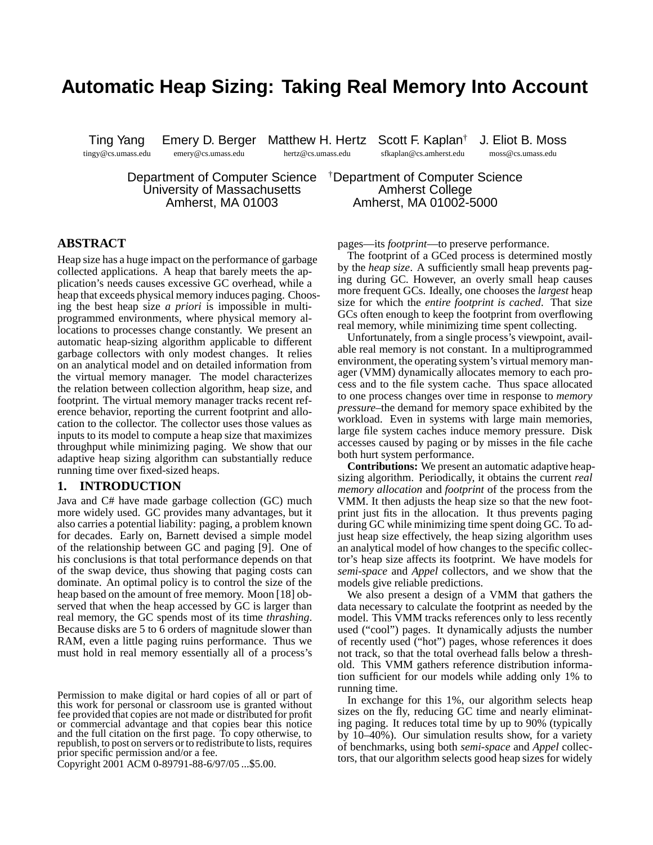# **Automatic Heap Sizing: Taking Real Memory Into Account**

tingy@cs.umass.edu emery@cs.umass.edu hertz@cs.umass.edu sfkaplan@cs.amherst.edu moss@cs.umass.edu

Ting Yang Emery D. Berger Matthew H. Hertz Scott F. Kaplan† J. Eliot B. Moss

Department of Computer Science †Department of Computer Science University of Massachusetts **Amherst College** 

Amherst, MA 01003 Amherst, MA 01002-5000

# **ABSTRACT**

Heap size has a huge impact on the performance of garbage collected applications. A heap that barely meets the application's needs causes excessive GC overhead, while a heap that exceeds physical memory induces paging. Choosing the best heap size *a priori* is impossible in multiprogrammed environments, where physical memory allocations to processes change constantly. We present an automatic heap-sizing algorithm applicable to different garbage collectors with only modest changes. It relies on an analytical model and on detailed information from the virtual memory manager. The model characterizes the relation between collection algorithm, heap size, and footprint. The virtual memory manager tracks recent reference behavior, reporting the current footprint and allocation to the collector. The collector uses those values as inputs to its model to compute a heap size that maximizes throughput while minimizing paging. We show that our adaptive heap sizing algorithm can substantially reduce running time over fixed-sized heaps.

# **1. INTRODUCTION**

Java and C# have made garbage collection (GC) much more widely used. GC provides many advantages, but it also carries a potential liability: paging, a problem known for decades. Early on, Barnett devised a simple model of the relationship between GC and paging [9]. One of his conclusions is that total performance depends on that of the swap device, thus showing that paging costs can dominate. An optimal policy is to control the size of the heap based on the amount of free memory. Moon [18] observed that when the heap accessed by GC is larger than real memory, the GC spends most of its time *thrashing*. Because disks are 5 to 6 orders of magnitude slower than RAM, even a little paging ruins performance. Thus we must hold in real memory essentially all of a process's

Copyright 2001 ACM 0-89791-88-6/97/05 ...\$5.00.

pages—its *footprint*—to preserve performance.

The footprint of a GCed process is determined mostly by the *heap size*. A sufficiently small heap prevents paging during GC. However, an overly small heap causes more frequent GCs. Ideally, one chooses the *largest* heap size for which the *entire footprint is cached*. That size GCs often enough to keep the footprint from overflowing real memory, while minimizing time spent collecting.

Unfortunately, from a single process's viewpoint, available real memory is not constant. In a multiprogrammed environment, the operating system's virtual memory manager (VMM) dynamically allocates memory to each process and to the file system cache. Thus space allocated to one process changes over time in response to *memory pressure*–the demand for memory space exhibited by the workload. Even in systems with large main memories, large file system caches induce memory pressure. Disk accesses caused by paging or by misses in the file cache both hurt system performance.

**Contributions:** We present an automatic adaptive heapsizing algorithm. Periodically, it obtains the current *real memory allocation* and *footprint* of the process from the VMM. It then adjusts the heap size so that the new footprint just fits in the allocation. It thus prevents paging during GC while minimizing time spent doing GC. To adjust heap size effectively, the heap sizing algorithm uses an analytical model of how changes to the specific collector's heap size affects its footprint. We have models for *semi-space* and *Appel* collectors, and we show that the models give reliable predictions.

We also present a design of a VMM that gathers the data necessary to calculate the footprint as needed by the model. This VMM tracks references only to less recently used ("cool") pages. It dynamically adjusts the number of recently used ("hot") pages, whose references it does not track, so that the total overhead falls below a threshold. This VMM gathers reference distribution information sufficient for our models while adding only 1% to running time.

In exchange for this 1%, our algorithm selects heap sizes on the fly, reducing GC time and nearly eliminating paging. It reduces total time by up to 90% (typically by 10–40%). Our simulation results show, for a variety of benchmarks, using both *semi-space* and *Appel* collectors, that our algorithm selects good heap sizes for widely

Permission to make digital or hard copies of all or part of this work for personal or classroom use is granted without fee provided that copies are not made or distributed for profit or commercial advantage and that copies bear this notice and the full citation on the first page. To copy otherwise, to republish, to post on servers orto redistribute to lists, requires prior specific permission and/or a fee.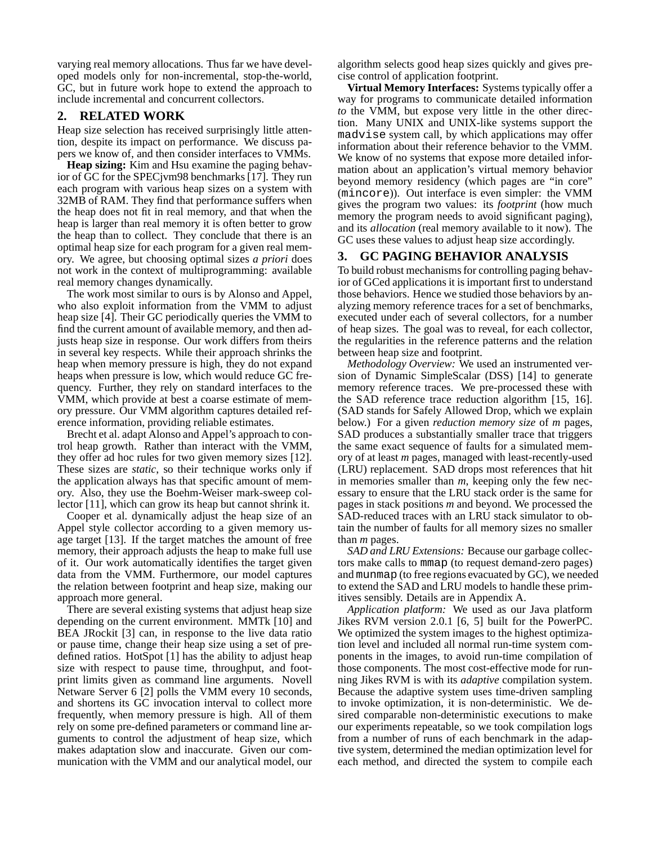varying real memory allocations. Thus far we have developed models only for non-incremental, stop-the-world, GC, but in future work hope to extend the approach to include incremental and concurrent collectors.

# **2. RELATED WORK**

Heap size selection has received surprisingly little attention, despite its impact on performance. We discuss papers we know of, and then consider interfaces to VMMs.

**Heap sizing:** Kim and Hsu examine the paging behavior of GC for the SPECjvm98 benchmarks [17]. They run each program with various heap sizes on a system with 32MB of RAM. They find that performance suffers when the heap does not fit in real memory, and that when the heap is larger than real memory it is often better to grow the heap than to collect. They conclude that there is an optimal heap size for each program for a given real memory. We agree, but choosing optimal sizes *a priori* does not work in the context of multiprogramming: available real memory changes dynamically.

The work most similar to ours is by Alonso and Appel, who also exploit information from the VMM to adjust heap size [4]. Their GC periodically queries the VMM to find the current amount of available memory, and then adjusts heap size in response. Our work differs from theirs in several key respects. While their approach shrinks the heap when memory pressure is high, they do not expand heaps when pressure is low, which would reduce GC frequency. Further, they rely on standard interfaces to the VMM, which provide at best a coarse estimate of memory pressure. Our VMM algorithm captures detailed reference information, providing reliable estimates.

Brecht et al. adapt Alonso and Appel's approach to control heap growth. Rather than interact with the VMM, they offer ad hoc rules for two given memory sizes [12]. These sizes are *static*, so their technique works only if the application always has that specific amount of memory. Also, they use the Boehm-Weiser mark-sweep collector [11], which can grow its heap but cannot shrink it.

Cooper et al. dynamically adjust the heap size of an Appel style collector according to a given memory usage target [13]. If the target matches the amount of free memory, their approach adjusts the heap to make full use of it. Our work automatically identifies the target given data from the VMM. Furthermore, our model captures the relation between footprint and heap size, making our approach more general.

There are several existing systems that adjust heap size depending on the current environment. MMTk [10] and BEA JRockit [3] can, in response to the live data ratio or pause time, change their heap size using a set of predefined ratios. HotSpot [1] has the ability to adjust heap size with respect to pause time, throughput, and footprint limits given as command line arguments. Novell Netware Server 6 [2] polls the VMM every 10 seconds, and shortens its GC invocation interval to collect more frequently, when memory pressure is high. All of them rely on some pre-defined parameters or command line arguments to control the adjustment of heap size, which makes adaptation slow and inaccurate. Given our communication with the VMM and our analytical model, our algorithm selects good heap sizes quickly and gives precise control of application footprint.

**Virtual Memory Interfaces:** Systems typically offer a way for programs to communicate detailed information *to* the VMM, but expose very little in the other direction. Many UNIX and UNIX-like systems support the madvise system call, by which applications may offer information about their reference behavior to the VMM. We know of no systems that expose more detailed information about an application's virtual memory behavior beyond memory residency (which pages are "in core" (mincore)). Out interface is even simpler: the VMM gives the program two values: its *footprint* (how much memory the program needs to avoid significant paging), and its *allocation* (real memory available to it now). The GC uses these values to adjust heap size accordingly.

# **3. GC PAGING BEHAVIOR ANALYSIS**

To build robust mechanisms for controlling paging behavior of GCed applications it is important first to understand those behaviors. Hence we studied those behaviors by analyzing memory reference traces for a set of benchmarks, executed under each of several collectors, for a number of heap sizes. The goal was to reveal, for each collector, the regularities in the reference patterns and the relation between heap size and footprint.

*Methodology Overview:* We used an instrumented version of Dynamic SimpleScalar (DSS) [14] to generate memory reference traces. We pre-processed these with the SAD reference trace reduction algorithm [15, 16]. (SAD stands for Safely Allowed Drop, which we explain below.) For a given *reduction memory size* of *m* pages, SAD produces a substantially smaller trace that triggers the same exact sequence of faults for a simulated memory of at least *m* pages, managed with least-recently-used (LRU) replacement. SAD drops most references that hit in memories smaller than *m*, keeping only the few necessary to ensure that the LRU stack order is the same for pages in stack positions *m* and beyond. We processed the SAD-reduced traces with an LRU stack simulator to obtain the number of faults for all memory sizes no smaller than *m* pages.

*SAD and LRU Extensions:* Because our garbage collectors make calls to mmap (to request demand-zero pages) and munmap (to free regions evacuated by GC), we needed to extend the SAD and LRU models to handle these primitives sensibly. Details are in Appendix A.

*Application platform:* We used as our Java platform Jikes RVM version 2.0.1 [6, 5] built for the PowerPC. We optimized the system images to the highest optimization level and included all normal run-time system components in the images, to avoid run-time compilation of those components. The most cost-effective mode for running Jikes RVM is with its *adaptive* compilation system. Because the adaptive system uses time-driven sampling to invoke optimization, it is non-deterministic. We desired comparable non-deterministic executions to make our experiments repeatable, so we took compilation logs from a number of runs of each benchmark in the adaptive system, determined the median optimization level for each method, and directed the system to compile each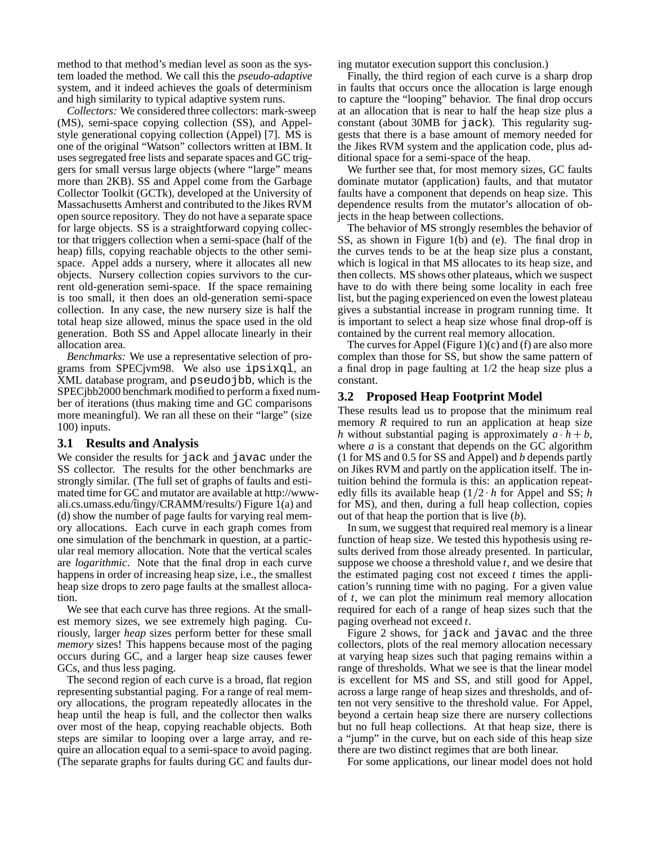method to that method's median level as soon as the system loaded the method. We call this the *pseudo-adaptive* system, and it indeed achieves the goals of determinism and high similarity to typical adaptive system runs.

*Collectors:* We considered three collectors: mark-sweep (MS), semi-space copying collection (SS), and Appelstyle generational copying collection (Appel) [7]. MS is one of the original "Watson" collectors written at IBM. It uses segregated free lists and separate spaces and GC triggers for small versus large objects (where "large" means more than 2KB). SS and Appel come from the Garbage Collector Toolkit (GCTk), developed at the University of Massachusetts Amherst and contributed to the Jikes RVM open source repository. They do not have a separate space for large objects. SS is a straightforward copying collector that triggers collection when a semi-space (half of the heap) fills, copying reachable objects to the other semispace. Appel adds a nursery, where it allocates all new objects. Nursery collection copies survivors to the current old-generation semi-space. If the space remaining is too small, it then does an old-generation semi-space collection. In any case, the new nursery size is half the total heap size allowed, minus the space used in the old generation. Both SS and Appel allocate linearly in their allocation area.

*Benchmarks:* We use a representative selection of programs from SPECjvm98. We also use ipsixql, an XML database program, and pseudojbb, which is the SPECjbb2000 benchmark modified to perform a fixed number of iterations (thus making time and GC comparisons more meaningful). We ran all these on their "large" (size 100) inputs.

## **3.1 Results and Analysis**

We consider the results for jack and javac under the SS collector. The results for the other benchmarks are strongly similar. (The full set of graphs of faults and estimated time for GC and mutator are available at http://wwwali.cs.umass.edu/˜tingy/CRAMM/results/) Figure 1(a) and (d) show the number of page faults for varying real memory allocations. Each curve in each graph comes from one simulation of the benchmark in question, at a particular real memory allocation. Note that the vertical scales are *logarithmic*. Note that the final drop in each curve happens in order of increasing heap size, i.e., the smallest heap size drops to zero page faults at the smallest allocation.

We see that each curve has three regions. At the smallest memory sizes, we see extremely high paging. Curiously, larger *heap* sizes perform better for these small *memory* sizes! This happens because most of the paging occurs during GC, and a larger heap size causes fewer GCs, and thus less paging.

The second region of each curve is a broad, flat region representing substantial paging. For a range of real memory allocations, the program repeatedly allocates in the heap until the heap is full, and the collector then walks over most of the heap, copying reachable objects. Both steps are similar to looping over a large array, and require an allocation equal to a semi-space to avoid paging. (The separate graphs for faults during GC and faults during mutator execution support this conclusion.)

Finally, the third region of each curve is a sharp drop in faults that occurs once the allocation is large enough to capture the "looping" behavior. The final drop occurs at an allocation that is near to half the heap size plus a constant (about 30MB for jack). This regularity suggests that there is a base amount of memory needed for the Jikes RVM system and the application code, plus additional space for a semi-space of the heap.

We further see that, for most memory sizes, GC faults dominate mutator (application) faults, and that mutator faults have a component that depends on heap size. This dependence results from the mutator's allocation of objects in the heap between collections.

The behavior of MS strongly resembles the behavior of SS, as shown in Figure 1(b) and (e). The final drop in the curves tends to be at the heap size plus a constant, which is logical in that MS allocates to its heap size, and then collects. MS shows other plateaus, which we suspect have to do with there being some locality in each free list, but the paging experienced on even the lowest plateau gives a substantial increase in program running time. It is important to select a heap size whose final drop-off is contained by the current real memory allocation.

The curves for Appel (Figure 1) $(c)$  and  $(f)$  are also more complex than those for SS, but show the same pattern of a final drop in page faulting at 1/2 the heap size plus a constant.

# **3.2 Proposed Heap Footprint Model**

These results lead us to propose that the minimum real memory *R* required to run an application at heap size *h* without substantial paging is approximately  $a \cdot h + b$ , where  $a$  is a constant that depends on the GC algorithm (1 for MS and 0.5 for SS and Appel) and *b* depends partly on Jikes RVM and partly on the application itself. The intuition behind the formula is this: an application repeatedly fills its available heap  $(1/2 \cdot h)$  for Appel and SS; *h* for MS), and then, during a full heap collection, copies out of that heap the portion that is live (*b*).

In sum, we suggest that required real memory is a linear function of heap size. We tested this hypothesis using results derived from those already presented. In particular, suppose we choose a threshold value *t*, and we desire that the estimated paging cost not exceed *t* times the application's running time with no paging. For a given value of *t*, we can plot the minimum real memory allocation required for each of a range of heap sizes such that the paging overhead not exceed *t*.

Figure 2 shows, for jack and javac and the three collectors, plots of the real memory allocation necessary at varying heap sizes such that paging remains within a range of thresholds. What we see is that the linear model is excellent for MS and SS, and still good for Appel, across a large range of heap sizes and thresholds, and often not very sensitive to the threshold value. For Appel, beyond a certain heap size there are nursery collections but no full heap collections. At that heap size, there is a "jump" in the curve, but on each side of this heap size there are two distinct regimes that are both linear.

For some applications, our linear model does not hold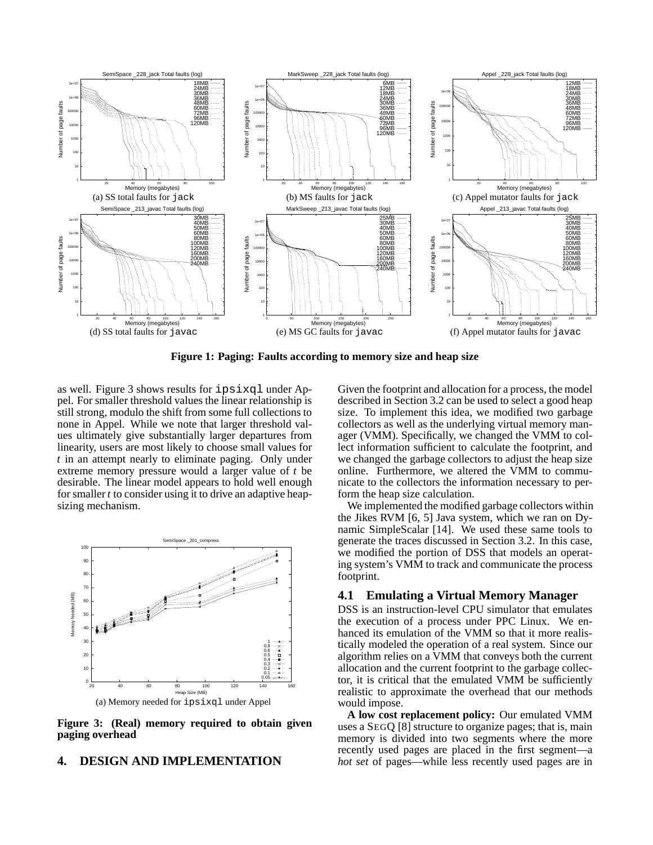

**Figure 1: Paging: Faults according to memory size and heap size**

as well. Figure 3 shows results for ipsixql under Appel. For smaller threshold values the linear relationship is still strong, modulo the shift from some full collections to none in Appel. While we note that larger threshold values ultimately give substantially larger departures from linearity, users are most likely to choose small values for *t* in an attempt nearly to eliminate paging. Only under extreme memory pressure would a larger value of *t* be desirable. The linear model appears to hold well enough for smaller *t* to consider using it to drive an adaptive heapsizing mechanism.



**Figure 3: (Real) memory required to obtain given paging overhead**

#### **4. DESIGN AND IMPLEMENTATION**

Given the footprint and allocation for a process, the model described in Section 3.2 can be used to select a good heap size. To implement this idea, we modified two garbage collectors as well as the underlying virtual memory manager (VMM). Specifically, we changed the VMM to collect information sufficient to calculate the footprint, and we changed the garbage collectors to adjust the heap size online. Furthermore, we altered the VMM to communicate to the collectors the information necessary to perform the heap size calculation.

We implemented the modified garbage collectors within the Jikes RVM [6, 5] Java system, which we ran on Dynamic SimpleScalar [14]. We used these same tools to generate the traces discussed in Section 3.2. In this case, we modified the portion of DSS that models an operating system's VMM to track and communicate the process footprint.

# **4.1 Emulating a Virtual Memory Manager**

DSS is an instruction-level CPU simulator that emulates the execution of a process under PPC Linux. We enhanced its emulation of the VMM so that it more realistically modeled the operation of a real system. Since our algorithm relies on a VMM that conveys both the current allocation and the current footprint to the garbage collector, it is critical that the emulated VMM be sufficiently realistic to approximate the overhead that our methods would impose.

**A low cost replacement policy:** Our emulated VMM uses a SEGQ [8] structure to organize pages; that is, main memory is divided into two segments where the more recently used pages are placed in the first segment—a *hot set* of pages—while less recently used pages are in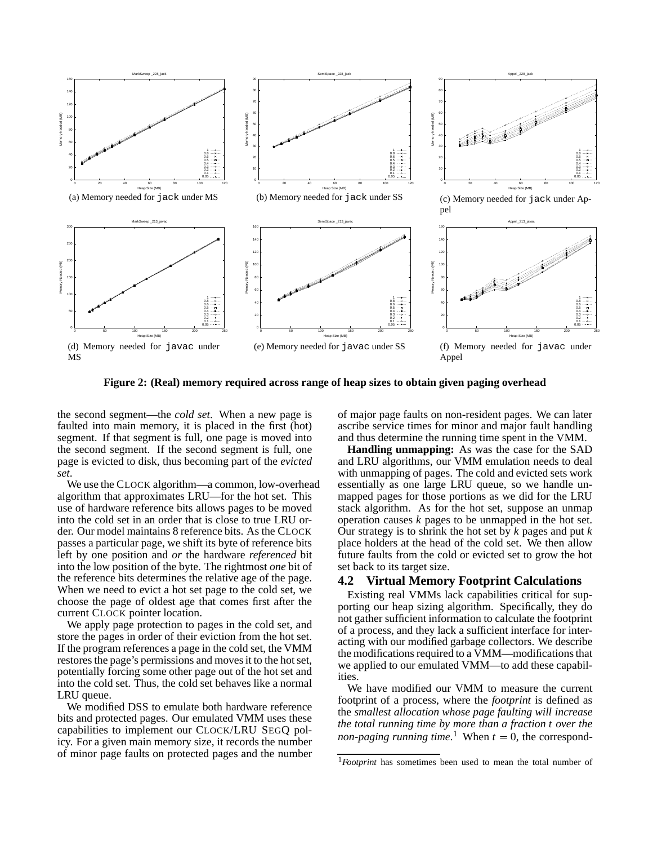

**Figure 2: (Real) memory required across range of heap sizes to obtain given paging overhead**

the second segment—the *cold set*. When a new page is faulted into main memory, it is placed in the first (hot) segment. If that segment is full, one page is moved into the second segment. If the second segment is full, one page is evicted to disk, thus becoming part of the *evicted set*.

We use the CLOCK algorithm—a common, low-overhead algorithm that approximates LRU—for the hot set. This use of hardware reference bits allows pages to be moved into the cold set in an order that is close to true LRU order. Our model maintains 8 reference bits. As the CLOCK passes a particular page, we shift its byte of reference bits left by one position and *or* the hardware *referenced* bit into the low position of the byte. The rightmost *one* bit of the reference bits determines the relative age of the page. When we need to evict a hot set page to the cold set, we choose the page of oldest age that comes first after the current CLOCK pointer location.

We apply page protection to pages in the cold set, and store the pages in order of their eviction from the hot set. If the program references a page in the cold set, the VMM restores the page's permissions and moves it to the hot set, potentially forcing some other page out of the hot set and into the cold set. Thus, the cold set behaves like a normal LRU queue.

We modified DSS to emulate both hardware reference bits and protected pages. Our emulated VMM uses these capabilities to implement our CLOCK/LRU SEGQ policy. For a given main memory size, it records the number of minor page faults on protected pages and the number of major page faults on non-resident pages. We can later ascribe service times for minor and major fault handling and thus determine the running time spent in the VMM.

**Handling unmapping:** As was the case for the SAD and LRU algorithms, our VMM emulation needs to deal with unmapping of pages. The cold and evicted sets work essentially as one large LRU queue, so we handle unmapped pages for those portions as we did for the LRU stack algorithm. As for the hot set, suppose an unmap operation causes *k* pages to be unmapped in the hot set. Our strategy is to shrink the hot set by *k* pages and put *k* place holders at the head of the cold set. We then allow future faults from the cold or evicted set to grow the hot set back to its target size.

# **4.2 Virtual Memory Footprint Calculations**

Existing real VMMs lack capabilities critical for supporting our heap sizing algorithm. Specifically, they do not gather sufficient information to calculate the footprint of a process, and they lack a sufficient interface for interacting with our modified garbage collectors. We describe the modifications required to a VMM—modifications that we applied to our emulated VMM—to add these capabilities.

We have modified our VMM to measure the current footprint of a process, where the *footprint* is defined as the *smallest allocation whose page faulting will increase the total running time by more than a fraction t over the non-paging running time*.<sup>1</sup> When  $t = 0$ , the correspond-

<sup>1</sup>*Footprint* has sometimes been used to mean the total number of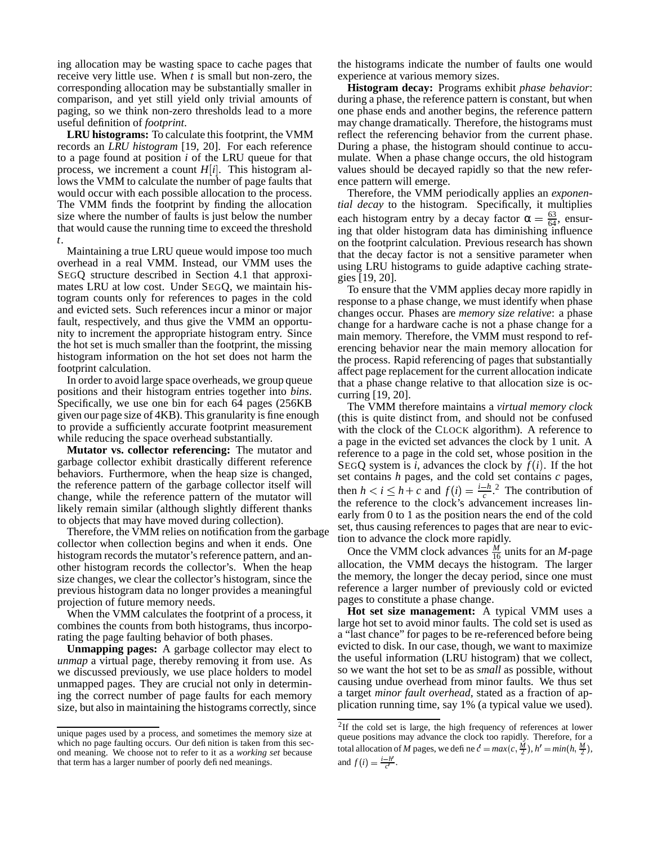ing allocation may be wasting space to cache pages that receive very little use. When *t* is small but non-zero, the corresponding allocation may be substantially smaller in comparison, and yet still yield only trivial amounts of paging, so we think non-zero thresholds lead to a more useful definition of *footprint*.

**LRU histograms:** To calculate this footprint, the VMM records an *LRU histogram* [19, 20]. For each reference to a page found at position *i* of the LRU queue for that process, we increment a count  $H[i]$ . This histogram allows the VMM to calculate the number of page faults that would occur with each possible allocation to the process. The VMM finds the footprint by finding the allocation size where the number of faults is just below the number that would cause the running time to exceed the threshold *t*.

Maintaining a true LRU queue would impose too much overhead in a real VMM. Instead, our VMM uses the SEGQ structure described in Section 4.1 that approximates LRU at low cost. Under SEGQ, we maintain histogram counts only for references to pages in the cold and evicted sets. Such references incur a minor or major fault, respectively, and thus give the VMM an opportunity to increment the appropriate histogram entry. Since the hot set is much smaller than the footprint, the missing histogram information on the hot set does not harm the footprint calculation.

In order to avoid large space overheads, we group queue positions and their histogram entries together into *bins*. Specifically, we use one bin for each 64 pages (256KB given our page size of 4KB). This granularity is fine enough to provide a sufficiently accurate footprint measurement while reducing the space overhead substantially.

**Mutator vs. collector referencing:** The mutator and garbage collector exhibit drastically different reference behaviors. Furthermore, when the heap size is changed, the reference pattern of the garbage collector itself will change, while the reference pattern of the mutator will likely remain similar (although slightly different thanks to objects that may have moved during collection).

Therefore, the VMM relies on notification from the garbage collector when collection begins and when it ends. One histogram records the mutator's reference pattern, and another histogram records the collector's. When the heap size changes, we clear the collector's histogram, since the previous histogram data no longer provides a meaningful projection of future memory needs.

When the VMM calculates the footprint of a process, it combines the counts from both histograms, thus incorporating the page faulting behavior of both phases.

**Unmapping pages:** A garbage collector may elect to *unmap* a virtual page, thereby removing it from use. As we discussed previously, we use place holders to model unmapped pages. They are crucial not only in determining the correct number of page faults for each memory size, but also in maintaining the histograms correctly, since the histograms indicate the number of faults one would experience at various memory sizes.

**Histogram decay:** Programs exhibit *phase behavior*: during a phase, the reference pattern is constant, but when one phase ends and another begins, the reference pattern may change dramatically. Therefore, the histograms must reflect the referencing behavior from the current phase. During a phase, the histogram should continue to accumulate. When a phase change occurs, the old histogram values should be decayed rapidly so that the new reference pattern will emerge.

Therefore, the VMM periodically applies an *exponential decay* to the histogram. Specifically, it multiplies each histogram entry by a decay factor  $\alpha = \frac{63}{64}$ , ensuring that older histogram data has diminishing influence on the footprint calculation. Previous research has shown that the decay factor is not a sensitive parameter when using LRU histograms to guide adaptive caching strategies [19, 20].

To ensure that the VMM applies decay more rapidly in response to a phase change, we must identify when phase changes occur. Phases are *memory size relative*: a phase change for a hardware cache is not a phase change for a main memory. Therefore, the VMM must respond to referencing behavior near the main memory allocation for the process. Rapid referencing of pages that substantially affect page replacement for the current allocation indicate that a phase change relative to that allocation size is occurring [19, 20].

The VMM therefore maintains a *virtual memory clock* (this is quite distinct from, and should not be confused with the clock of the CLOCK algorithm). A reference to a page in the evicted set advances the clock by 1 unit. A reference to a page in the cold set, whose position in the SEGQ system is *i*, advances the clock by  $f(i)$ . If the hot set contains *h* pages, and the cold set contains *c* pages, then  $h < i \leq h + c$  and  $f(i) = \frac{i-h}{c}$ . The contribution of the reference to the clock's advancement increases linearly from 0 to 1 as the position nears the end of the cold set, thus causing references to pages that are near to eviction to advance the clock more rapidly.

Once the VMM clock advances  $\frac{M}{16}$  units for an *M*-page allocation, the VMM decays the histogram. The larger the memory, the longer the decay period, since one must reference a larger number of previously cold or evicted pages to constitute a phase change.

**Hot set size management:** A typical VMM uses a large hot set to avoid minor faults. The cold set is used as a "last chance" for pages to be re-referenced before being evicted to disk. In our case, though, we want to maximize the useful information (LRU histogram) that we collect, so we want the hot set to be as *small* as possible, without causing undue overhead from minor faults. We thus set a target *minor fault overhead*, stated as a fraction of application running time, say 1% (a typical value we used).

unique pages used by a process, and sometimes the memory size at which no page faulting occurs. Our definition is taken from this second meaning. We choose not to refer to it as a *working set* because that term has a larger number of poorly defined meanings.

 $2$ If the cold set is large, the high frequency of references at lower queue positions may advance the clock too rapidly. Therefore, for a total allocation of *M* pages, we define  $c' = max(c, \frac{M}{2}), h' = min(h, \frac{M}{2}),$ and  $f(i) = \frac{i - h'}{c'}$ .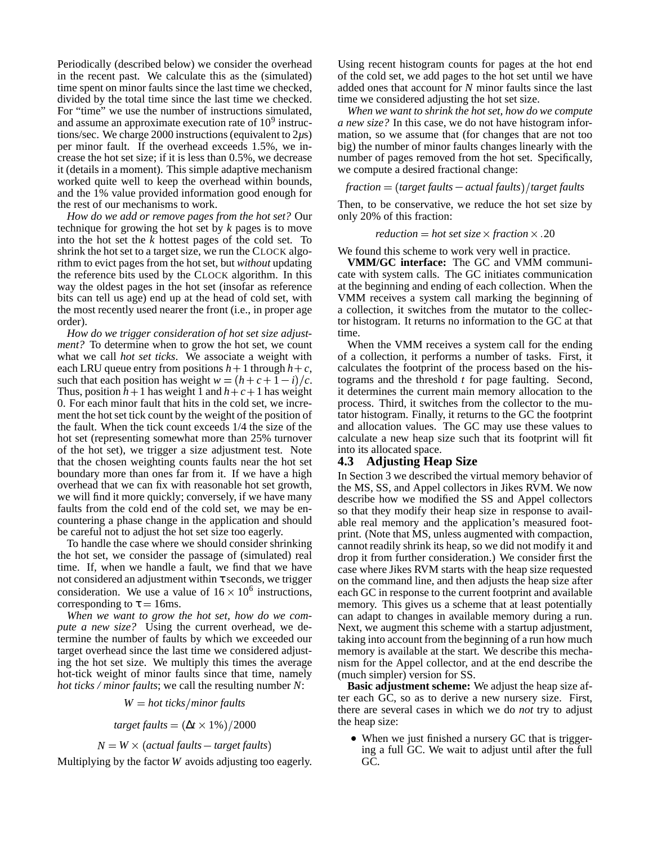Periodically (described below) we consider the overhead in the recent past. We calculate this as the (simulated) time spent on minor faults since the last time we checked, divided by the total time since the last time we checked. For "time" we use the number of instructions simulated, and assume an approximate execution rate of  $10<sup>9</sup>$  instructions/sec. We charge 2000 instructions (equivalent to 2*µ*s) per minor fault. If the overhead exceeds 1.5%, we increase the hot set size; if it is less than 0.5%, we decrease it (details in a moment). This simple adaptive mechanism worked quite well to keep the overhead within bounds, and the 1% value provided information good enough for the rest of our mechanisms to work.

*How do we add or remove pages from the hot set?* Our technique for growing the hot set by *k* pages is to move into the hot set the  $k$  hottest pages of the cold set. To shrink the hot set to a target size, we run the CLOCK algorithm to evict pages from the hot set, but *without* updating the reference bits used by the CLOCK algorithm. In this way the oldest pages in the hot set (insofar as reference bits can tell us age) end up at the head of cold set, with the most recently used nearer the front (i.e., in proper age order).

*How do we trigger consideration of hot set size adjustment?* To determine when to grow the hot set, we count what we call *hot set ticks*. We associate a weight with each LRU queue entry from positions  $h+1$  through  $h+c$ , calcula such that each position has weight  $w = (h + c + 1 - i)/c$ . tog Thus, position  $h+1$  has weight 1 and  $h+c+1$  has weight 0. For each minor fault that hits in the cold set, we increment the hot set tick count by the weight of the position of the fault. When the tick count exceeds 1/4 the size of the hot set (representing somewhat more than 25% turnover of the hot set), we trigger a size adjustment test. Note that the chosen weighting counts faults near the hot set boundary more than ones far from it. If we have a high overhead that we can fix with reasonable hot set growth, we will find it more quickly; conversely, if we have many faults from the cold end of the cold set, we may be encountering a phase change in the application and should be careful not to adjust the hot set size too eagerly.

To handle the case where we should consider shrinking the hot set, we consider the passage of (simulated) real time. If, when we handle a fault, we find that we have not considered an adjustment within  $\tau$  seconds, we trigger consideration. We use a value of  $16 \times 10^6$  instructions, corresponding to  $\tau = 16$ ms.

*When we want to grow the hot set, how do we compute a new size?* Using the current overhead, we determine the number of faults by which we exceeded our target overhead since the last time we considered adjusting the hot set size. We multiply this times the average hot-tick weight of minor faults since that time, namely *hot ticks / minor faults*; we call the resulting number *N*:

 $W = hot$  *ticks*/*minor faults* 

*target faults*  $= (\Delta t \times 1\%) / 2000$ 

 $N = W \times (actual$  *faults*  $-$  *target faults*)

Multiplying by the factor *W* avoids adjusting too eagerly.

Using recent histogram counts for pages at the hot end of the cold set, we add pages to the hot set until we have added ones that account for *N* minor faults since the last time we considered adjusting the hot set size.

*When we want to shrink the hot set, how do we compute a new size?* In this case, we do not have histogram information, so we assume that (for changes that are not too big) the number of minor faults changes linearly with the number of pages removed from the hot set. Specifically, we compute a desired fractional change:

$$
fraction = (target faults - actual faults) / target faults
$$

Then, to be conservative, we reduce the hot set size by only 20% of this fraction:

 $reduction = hot set size \times fraction \times .20$ 

We found this scheme to work very well in practice.

**VMM/GC interface:** The GC and VMM communicate with system calls. The GC initiates communication at the beginning and ending of each collection. When the VMM receives a system call marking the beginning of a collection, it switches from the mutator to the collector histogram. It returns no information to the GC at that time.

When the VMM receives a system call for the ending of a collection, it performs a number of tasks. First, it calculates the footprint of the process based on the histograms and the threshold *t* for page faulting. Second, it determines the current main memory allocation to the process. Third, it switches from the collector to the mutator histogram. Finally, it returns to the GC the footprint and allocation values. The GC may use these values to calculate a new heap size such that its footprint will fit into its allocated space.

# **4.3 Adjusting Heap Size**

In Section 3 we described the virtual memory behavior of the MS, SS, and Appel collectors in Jikes RVM. We now describe how we modified the SS and Appel collectors so that they modify their heap size in response to available real memory and the application's measured footprint. (Note that MS, unless augmented with compaction, cannot readily shrink its heap, so we did not modify it and drop it from further consideration.) We consider first the case where Jikes RVM starts with the heap size requested on the command line, and then adjusts the heap size after each GC in response to the current footprint and available memory. This gives us a scheme that at least potentially can adapt to changes in available memory during a run. Next, we augment this scheme with a startup adjustment, taking into account from the beginning of a run how much memory is available at the start. We describe this mechanism for the Appel collector, and at the end describe the (much simpler) version for SS.

**Basic adjustment scheme:** We adjust the heap size after each GC, so as to derive a new nursery size. First, there are several cases in which we do *not* try to adjust the heap size:

 When we just finished a nursery GC that is triggering a full GC. We wait to adjust until after the full GC.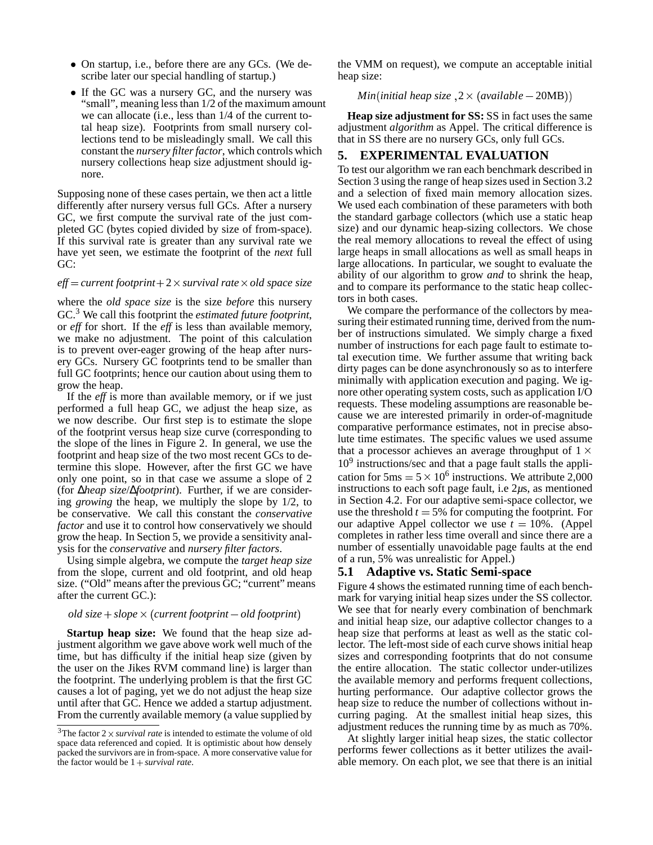- On startup, i.e., before there are any GCs. (We describe later our special handling of startup.)
- If the GC was a nursery GC, and the nursery was "small", meaning less than 1/2 of the maximum amount we can allocate (i.e., less than 1/4 of the current total heap size). Footprints from small nursery collections tend to be misleadingly small. We call this constant the *nursery filterfactor*, which controls which nursery collections heap size adjustment should ignore.

Supposing none of these cases pertain, we then act a little differently after nursery versus full GCs. After a nursery GC, we first compute the survival rate of the just completed GC (bytes copied divided by size of from-space). If this survival rate is greater than any survival rate we have yet seen, we estimate the footprint of the *next* full GC:

## *eff current footprint* 2 - *survival rate* - *old space size*

where the *old space size* is the size *before* this nursery GC.<sup>3</sup> We call this footprint the *estimated future footprint*, or *eff* for short. If the *eff* is less than available memory, we make no adjustment. The point of this calculation is to prevent over-eager growing of the heap after nursery GCs. Nursery GC footprints tend to be smaller than full GC footprints; hence our caution about using them to grow the heap.

If the *eff* is more than available memory, or if we just performed a full heap GC, we adjust the heap size, as we now describe. Our first step is to estimate the slope of the footprint versus heap size curve (corresponding to the slope of the lines in Figure 2. In general, we use the footprint and heap size of the two most recent GCs to determine this slope. However, after the first GC we have only one point, so in that case we assume a slope of 2 (for ∆*heap size*/∆*footprint*). Further, if we are considering *growing* the heap, we multiply the slope by 1/2, to be conservative. We call this constant the *conservative factor* and use it to control how conservatively we should grow the heap. In Section 5, we provide a sensitivity analysis for the *conservative* and *nursery filter factors*.

Using simple algebra, we compute the *target heap size* from the slope, current and old footprint, and old heap size. ("Old" means after the previous GC; "current" means after the current GC.):

#### *old size slope* - - *current footprint old footprint*

**Startup heap size:** We found that the heap size adjustment algorithm we gave above work well much of the time, but has difficulty if the initial heap size (given by the user on the Jikes RVM command line) is larger than the footprint. The underlying problem is that the first GC causes a lot of paging, yet we do not adjust the heap size until after that GC. Hence we added a startup adjustment. From the currently available memory (a value supplied by

the VMM on request), we compute an acceptable initial heap size:

 $Min (initial \; heap \; size \;, 2 \times (available - 20MB))$ 

**Heap size adjustment for SS:** SS in fact uses the same adjustment *algorithm* as Appel. The critical difference is that in SS there are no nursery GCs, only full GCs.

# **5. EXPERIMENTAL EVALUATION**

To test our algorithm we ran each benchmark described in Section 3 using the range of heap sizes used in Section 3.2 and a selection of fixed main memory allocation sizes. We used each combination of these parameters with both the standard garbage collectors (which use a static heap size) and our dynamic heap-sizing collectors. We chose the real memory allocations to reveal the effect of using large heaps in small allocations as well as small heaps in large allocations. In particular, we sought to evaluate the ability of our algorithm to grow *and* to shrink the heap, and to compare its performance to the static heap collectors in both cases.

We compare the performance of the collectors by measuring their estimated running time, derived from the number of instructions simulated. We simply charge a fixed number of instructions for each page fault to estimate total execution time. We further assume that writing back dirty pages can be done asynchronously so as to interfere minimally with application execution and paging. We ignore other operating system costs, such as application I/O requests. These modeling assumptions are reasonable because we are interested primarily in order-of-magnitude comparative performance estimates, not in precise absolute time estimates. The specific values we used assume that a processor achieves an average throughput of  $1 \times$ 10<sup>9</sup> instructions/sec and that a page fault stalls the application for  $5 \text{ms} = 5 \times 10^6$  instructions. We attribute 2,000 instructions to each soft page fault, i.e 2*µ*s, as mentioned in Section 4.2. For our adaptive semi-space collector, we use the threshold  $t = 5\%$  for computing the footprint. For our adaptive Appel collector we use  $t = 10\%$ . (Appel completes in rather less time overall and since there are a number of essentially unavoidable page faults at the end of a run, 5% was unrealistic for Appel.)

# **5.1 Adaptive vs. Static Semi-space**

Figure 4 shows the estimated running time of each benchmark for varying initial heap sizes under the SS collector. We see that for nearly every combination of benchmark and initial heap size, our adaptive collector changes to a heap size that performs at least as well as the static collector. The left-most side of each curve shows initial heap sizes and corresponding footprints that do not consume the entire allocation. The static collector under-utilizes the available memory and performs frequent collections, hurting performance. Our adaptive collector grows the heap size to reduce the number of collections without incurring paging. At the smallest initial heap sizes, this adjustment reduces the running time by as much as 70%.

At slightly larger initial heap sizes, the static collector performs fewer collections as it better utilizes the available memory. On each plot, we see that there is an initial

<sup>&</sup>lt;sup>3</sup>The factor  $2 \times$  *survival rate* is intended to estimate the volume of old space data referenced and copied. It is optimistic about how densely packed the survivors are in from-space. A more conservative value for the factor would be  $1 + survival$  *rate*.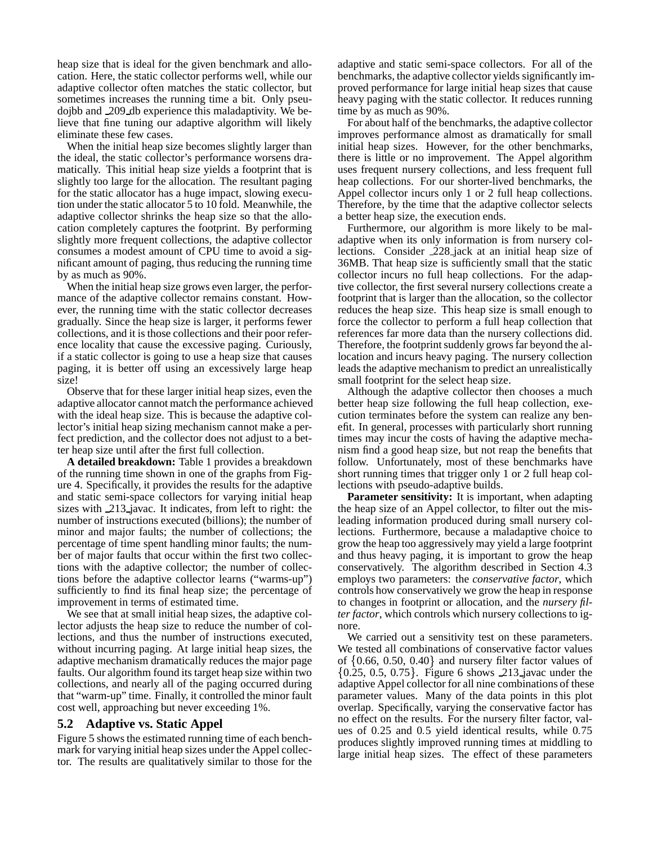heap size that is ideal for the given benchmark and allocation. Here, the static collector performs well, while our adaptive collector often matches the static collector, but sometimes increases the running time a bit. Only pseudojbb and 209 db experience this maladaptivity. We believe that fine tuning our adaptive algorithm will likely eliminate these few cases.

When the initial heap size becomes slightly larger than the ideal, the static collector's performance worsens dramatically. This initial heap size yields a footprint that is slightly too large for the allocation. The resultant paging for the static allocator has a huge impact, slowing execution under the static allocator 5 to 10 fold. Meanwhile, the adaptive collector shrinks the heap size so that the allocation completely captures the footprint. By performing slightly more frequent collections, the adaptive collector consumes a modest amount of CPU time to avoid a significant amount of paging, thus reducing the running time by as much as 90%.

When the initial heap size grows even larger, the performance of the adaptive collector remains constant. However, the running time with the static collector decreases gradually. Since the heap size is larger, it performs fewer collections, and it is those collections and their poor reference locality that cause the excessive paging. Curiously, if a static collector is going to use a heap size that causes paging, it is better off using an excessively large heap size!

Observe that for these larger initial heap sizes, even the adaptive allocator cannot match the performance achieved with the ideal heap size. This is because the adaptive collector's initial heap sizing mechanism cannot make a perfect prediction, and the collector does not adjust to a better heap size until after the first full collection.

**A detailed breakdown:** Table 1 provides a breakdown of the running time shown in one of the graphs from Figure 4. Specifically, it provides the results for the adaptive and static semi-space collectors for varying initial heap sizes with 213 javac. It indicates, from left to right: the number of instructions executed (billions); the number of minor and major faults; the number of collections; the percentage of time spent handling minor faults; the number of major faults that occur within the first two collections with the adaptive collector; the number of collections before the adaptive collector learns ("warms-up") sufficiently to find its final heap size; the percentage of improvement in terms of estimated time.

We see that at small initial heap sizes, the adaptive collector adjusts the heap size to reduce the number of collections, and thus the number of instructions executed, without incurring paging. At large initial heap sizes, the adaptive mechanism dramatically reduces the major page faults. Our algorithm found its target heap size within two collections, and nearly all of the paging occurred during that "warm-up" time. Finally, it controlled the minor fault cost well, approaching but never exceeding 1%.

# **5.2 Adaptive vs. Static Appel**

Figure 5 shows the estimated running time of each benchmark for varying initial heap sizes under the Appel collector. The results are qualitatively similar to those for the adaptive and static semi-space collectors. For all of the benchmarks, the adaptive collector yields significantly improved performance for large initial heap sizes that cause heavy paging with the static collector. It reduces running time by as much as 90%.

For about half of the benchmarks, the adaptive collector improves performance almost as dramatically for small initial heap sizes. However, for the other benchmarks, there is little or no improvement. The Appel algorithm uses frequent nursery collections, and less frequent full heap collections. For our shorter-lived benchmarks, the Appel collector incurs only 1 or 2 full heap collections. Therefore, by the time that the adaptive collector selects a better heap size, the execution ends.

Furthermore, our algorithm is more likely to be maladaptive when its only information is from nursery collections. Consider 228 jack at an initial heap size of 36MB. That heap size is sufficiently small that the static collector incurs no full heap collections. For the adaptive collector, the first several nursery collections create a footprint that is larger than the allocation, so the collector reduces the heap size. This heap size is small enough to force the collector to perform a full heap collection that references far more data than the nursery collections did. Therefore, the footprint suddenly grows far beyond the allocation and incurs heavy paging. The nursery collection leads the adaptive mechanism to predict an unrealistically small footprint for the select heap size.

Although the adaptive collector then chooses a much better heap size following the full heap collection, execution terminates before the system can realize any benefit. In general, processes with particularly short running times may incur the costs of having the adaptive mechanism find a good heap size, but not reap the benefits that follow. Unfortunately, most of these benchmarks have short running times that trigger only 1 or 2 full heap collections with pseudo-adaptive builds.

**Parameter sensitivity:** It is important, when adapting the heap size of an Appel collector, to filter out the misleading information produced during small nursery collections. Furthermore, because a maladaptive choice to grow the heap too aggressively may yield a large footprint and thus heavy paging, it is important to grow the heap conservatively. The algorithm described in Section 4.3 employs two parameters: the *conservative factor*, which controls how conservatively we grow the heap in response to changes in footprint or allocation, and the *nursery filter factor*, which controls which nursery collections to ignore.

We carried out a sensitivity test on these parameters. We tested all combinations of conservative factor values of  $\{0.66, 0.50, 0.40\}$  and nursery filter factor values of  $\{0.25, 0.5, 0.75\}$ . Figure 6 shows 213 javac under the adaptive Appel collector for all nine combinations of these parameter values. Many of the data points in this plot overlap. Specifically, varying the conservative factor has no effect on the results. For the nursery filter factor, values of 0.25 and 0.5 yield identical results, while 0.75 produces slightly improved running times at middling to large initial heap sizes. The effect of these parameters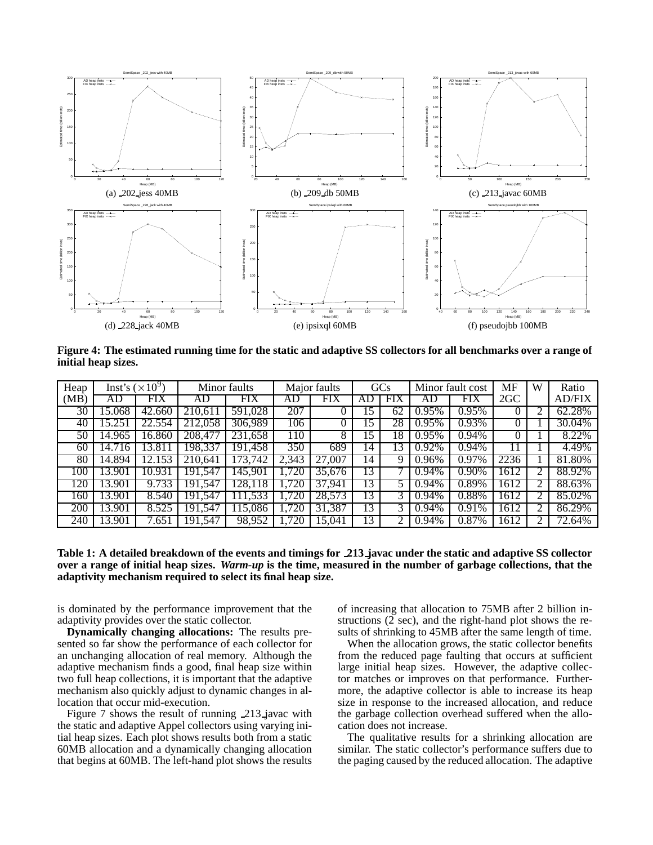

Figure 4: The estimated running time for the static and adaptive SS collectors for all benchmarks over a range of **initial heap sizes.**

| Heap | Inst's $(\times 10^9)$ |            | Minor faults |            | Major faults |        | GCs |     | Minor fault cost |       | MF             | W | Ratio         |
|------|------------------------|------------|--------------|------------|--------------|--------|-----|-----|------------------|-------|----------------|---|---------------|
| (MB) | AD                     | FIX        | AD           | FIX        | AĽ           | FIX    | Αl  | FIX | AD               | FIX   | $2 \text{GC}$  |   | <b>AD/FIX</b> |
| 30   | 15.068                 | 42.660     | 210.611      | 591,028    | 207          |        | .5  | 62  | 0.95%            | 0.95% |                |   | 62.28%        |
| 40   | .251<br>15.            | .554<br>22 | .058<br>212  | 306.989    | 106          |        | .5  | 28  | 0.95%            | 0.93% |                |   | 30.04%        |
| 50   | 14.965                 | 16.860     | 208.477      | 231,658    | 110          | 8      |     | 18  | 0.95%            | 0.94% |                |   | 8.22%         |
| 60   | 14.716                 | .811<br>13 | 198.337      | 191.458    | 350          | 689    | 14  | 13  | 0.92%            | 0.94% | $\overline{1}$ |   | 4.49%         |
| 80   | 14.894                 | 12.153     | 210.641      | 173,742    | 2.343        | 27.007 | 14  | 9   | 0.96%            | 0.97% | 2236           |   | 81.80%        |
| 100  | 13.901                 | 10.931     | 191.547      | 145.901    | .720         | 35.676 | 13  |     | 0.94%            | 0.90% | 1612           |   | 88.92%        |
| 120  | 13.901                 | 9.733      | 191.547      | 28.118     | .720         | 37.941 | 13  |     | $0.94\%$         | 0.89% | 1612           |   | 88.63%        |
| 160  | 13.901                 | 8.540      | 191.547      | .533<br>11 | .720         | 28,573 | 13  | 3   | $0.94\%$         | 0.88% | 1612           |   | 85.02%        |
| 200  | 13.901                 | 8.525      | 191,547      | 15.086     | .720         | 31,387 | 13  | 3   | $0.94\%$         | 0.91% | 1612           |   | 86.29%        |
| 240  | 13.901                 | 7.651      | 191.547      | 98,952     | .720         | 15.041 | 13  |     | 0.94%            | 0.87% | 1612           |   | 72.64%        |

Table 1: A detailed breakdown of the events and timings for 213 javac under the static and adaptive SS collector over a range of initial heap sizes. Warm-up is the time, measured in the number of garbage collections, that the **adaptivity mechanism required to select its final heap size.**

is dominated by the performance improvement that the adaptivity provides over the static collector.

**Dynamically changing allocations:** The results presented so far show the performance of each collector for an unchanging allocation of real memory. Although the adaptive mechanism finds a good, final heap size within two full heap collections, it is important that the adaptive mechanism also quickly adjust to dynamic changes in allocation that occur mid-execution.

Figure 7 shows the result of running 213 javac with the static and adaptive Appel collectors using varying initial heap sizes. Each plot shows results both from a static 60MB allocation and a dynamically changing allocation that begins at 60MB. The left-hand plot shows the results

of increasing that allocation to 75MB after 2 billion instructions  $(2 \text{ sec})$ , and the right-hand plot shows the results of shrinking to 45MB after the same length of time.

When the allocation grows, the static collector benefits from the reduced page faulting that occurs at sufficient large initial heap sizes. However, the adaptive collector matches or improves on that performance. Furthermore, the adaptive collector is able to increase its heap size in response to the increased allocation, and reduce the garbage collection overhead suffered when the allocation does not increase.

The qualitative results for a shrinking allocation are similar. The static collector's performance suffers due to the paging caused by the reduced allocation. The adaptive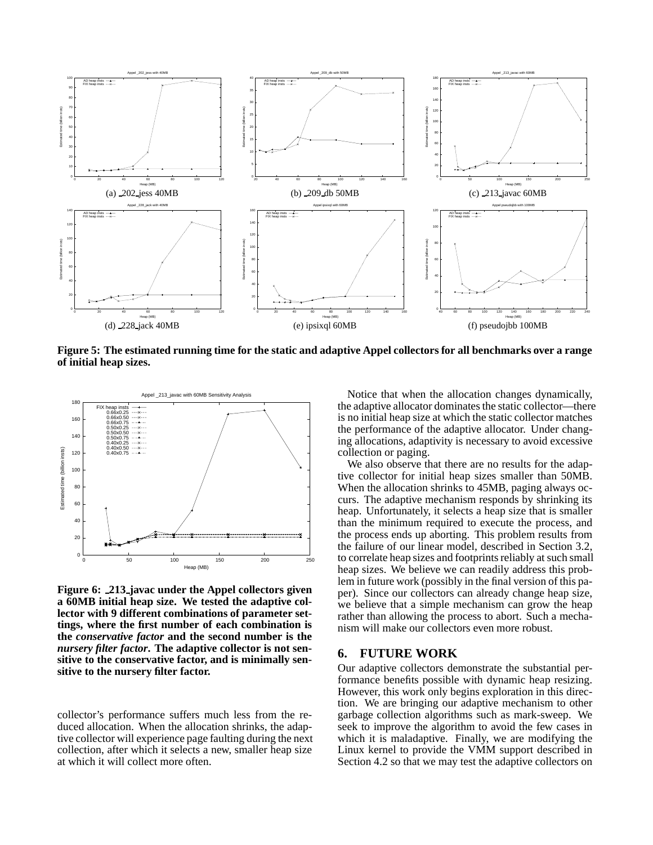

Figure 5: The estimated running time for the static and adaptive Appel collectors for all benchmarks over a range **of initial heap sizes.**



**Figure 6: 213 javac under the Appel collectors given a 60MB initial heap size. We tested the adaptive collector with 9 different combinations of parameter settings, where the first number of each combination is the** *conservative factor* **and the second number is the** *nursery filter factor***. The adaptive collector is not sensitive to the conservative factor, and is minimally sensitive to the nursery filter factor.**

collector's performance suffers much less from the reduced allocation. When the allocation shrinks, the adaptive collector will experience page faulting during the next collection, after which it selects a new, smaller heap size at which it will collect more often.

Notice that when the allocation changes dynamically, the adaptive allocator dominates the static collector—there is no initial heap size at which the static collector matches the performance of the adaptive allocator. Under changing allocations, adaptivity is necessary to avoid excessive collection or paging.

We also observe that there are no results for the adaptive collector for initial heap sizes smaller than 50MB. When the allocation shrinks to 45MB, paging always occurs. The adaptive mechanism responds by shrinking its heap. Unfortunately, it selects a heap size that is smaller than the minimum required to execute the process, and the process ends up aborting. This problem results from the failure of our linear model, described in Section 3.2, to correlate heap sizes and footprints reliably at such small heap sizes. We believe we can readily address this problem in future work (possibly in the final version of this paper). Since our collectors can already change heap size, we believe that a simple mechanism can grow the heap rather than allowing the process to abort. Such a mechanism will make our collectors even more robust.

# **6. FUTURE WORK**

Our adaptive collectors demonstrate the substantial performance benefits possible with dynamic heap resizing. However, this work only begins exploration in this direction. We are bringing our adaptive mechanism to other garbage collection algorithms such as mark-sweep. We seek to improve the algorithm to avoid the few cases in which it is maladaptive. Finally, we are modifying the Linux kernel to provide the VMM support described in Section 4.2 so that we may test the adaptive collectors on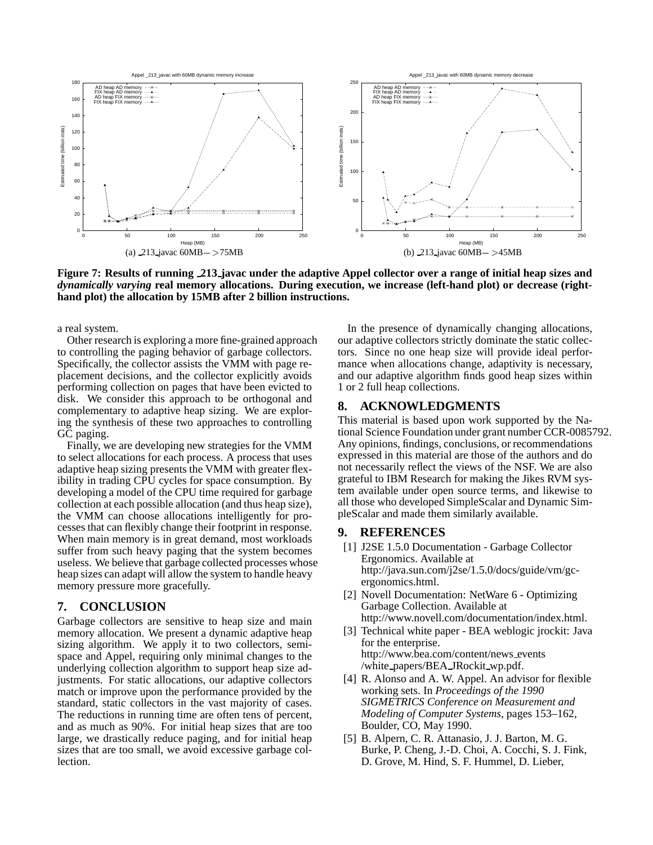

Figure 7: Results of running 213 javac under the adaptive Appel collector over a range of initial heap sizes and *dynamically varying* **real memory allocations. During execution, we increase (left-hand plot) or decrease (righthand plot) the allocation by 15MB after 2 billion instructions.**

a real system.

Other research is exploring a more fine-grained approach to controlling the paging behavior of garbage collectors. Specifically, the collector assists the VMM with page replacement decisions, and the collector explicitly avoids performing collection on pages that have been evicted to disk. We consider this approach to be orthogonal and complementary to adaptive heap sizing. We are exploring the synthesis of these two approaches to controlling GC paging.

Finally, we are developing new strategies for the VMM to select allocations for each process. A process that uses adaptive heap sizing presents the VMM with greater flexibility in trading CPU cycles for space consumption. By developing a model of the CPU time required for garbage collection at each possible allocation (and thus heap size), the VMM can choose allocations intelligently for processes that can flexibly change their footprint in response. When main memory is in great demand, most workloads suffer from such heavy paging that the system becomes useless. We believe that garbage collected processes whose heap sizes can adapt will allow the system to handle heavy memory pressure more gracefully.

## **7. CONCLUSION**

Garbage collectors are sensitive to heap size and main memory allocation. We present a dynamic adaptive heap sizing algorithm. We apply it to two collectors, semispace and Appel, requiring only minimal changes to the underlying collection algorithm to support heap size adjustments. For static allocations, our adaptive collectors match or improve upon the performance provided by the standard, static collectors in the vast majority of cases. The reductions in running time are often tens of percent, and as much as 90%. For initial heap sizes that are too large, we drastically reduce paging, and for initial heap sizes that are too small, we avoid excessive garbage collection.

In the presence of dynamically changing allocations, our adaptive collectors strictly dominate the static collectors. Since no one heap size will provide ideal performance when allocations change, adaptivity is necessary, and our adaptive algorithm finds good heap sizes within 1 or 2 full heap collections.

# **8. ACKNOWLEDGMENTS**

This material is based upon work supported by the National Science Foundation under grant number CCR-0085792. Any opinions, findings, conclusions, or recommendations expressed in this material are those of the authors and do not necessarily reflect the views of the NSF. We are also grateful to IBM Research for making the Jikes RVM system available under open source terms, and likewise to all those who developed SimpleScalar and Dynamic SimpleScalar and made them similarly available.

# **9. REFERENCES**

- [1] J2SE 1.5.0 Documentation Garbage Collector Ergonomics. Available at http://java.sun.com/j2se/1.5.0/docs/guide/vm/gcergonomics.html.
- [2] Novell Documentation: NetWare 6 Optimizing Garbage Collection. Available at http://www.novell.com/documentation/index.html.
- [3] Technical white paper BEA weblogic jrockit: Java for the enterprise. http://www.bea.com/content/news events /white papers/BEA JRockit wp.pdf.
- [4] R. Alonso and A. W. Appel. An advisor for flexible working sets. In *Proceedings of the 1990 SIGMETRICS Conference on Measurement and Modeling of Computer Systems*, pages 153–162, Boulder, CO, May 1990.
- [5] B. Alpern, C. R. Attanasio, J. J. Barton, M. G. Burke, P. Cheng, J.-D. Choi, A. Cocchi, S. J. Fink, D. Grove, M. Hind, S. F. Hummel, D. Lieber,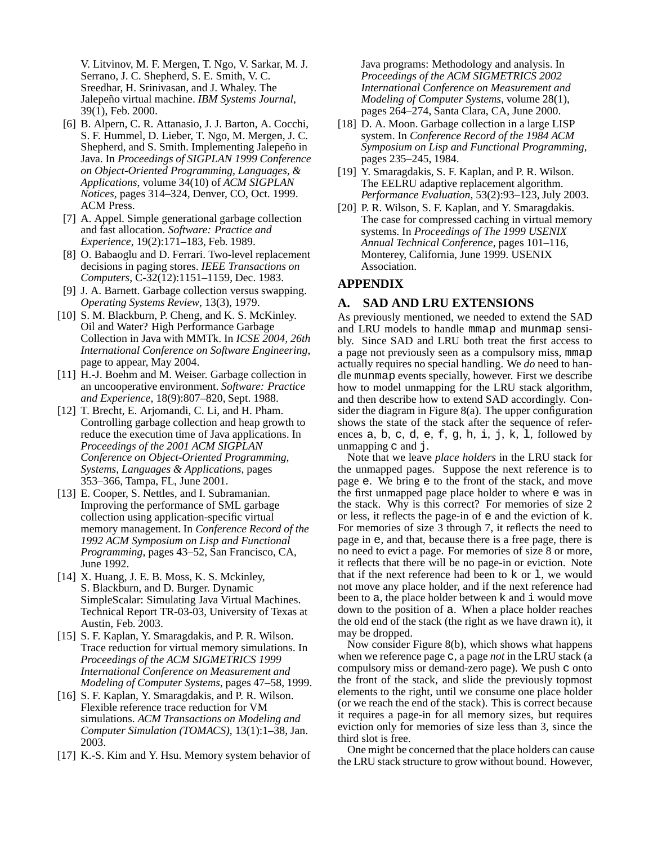V. Litvinov, M. F. Mergen, T. Ngo, V. Sarkar, M. J. Serrano, J. C. Shepherd, S. E. Smith, V. C. Sreedhar, H. Srinivasan, and J. Whaley. The Jalepeno˜ virtual machine. *IBM Systems Journal*, 39(1), Feb. 2000.

- [6] B. Alpern, C. R. Attanasio, J. J. Barton, A. Cocchi, S. F. Hummel, D. Lieber, T. Ngo, M. Mergen, J. C. Shepherd, and S. Smith. Implementing Jalepeño in Java. In *Proceedings of SIGPLAN 1999 Conference on Object-Oriented Programming, Languages, & Applications*, volume 34(10) of *ACM SIGPLAN Notices*, pages 314–324, Denver, CO, Oct. 1999. ACM Press.
- [7] A. Appel. Simple generational garbage collection and fast allocation. *Software: Practice and Experience*, 19(2):171–183, Feb. 1989.
- [8] O. Babaoglu and D. Ferrari. Two-level replacement decisions in paging stores. *IEEE Transactions on Computers*, C-32(12):1151–1159, Dec. 1983.
- [9] J. A. Barnett. Garbage collection versus swapping. *Operating Systems Review*, 13(3), 1979.
- [10] S. M. Blackburn, P. Cheng, and K. S. McKinley. Oil and Water? High Performance Garbage Collection in Java with MMTk. In *ICSE 2004, 26th International Conference on Software Engineering*, page to appear, May 2004.
- [11] H.-J. Boehm and M. Weiser. Garbage collection in an uncooperative environment. *Software: Practice and Experience*, 18(9):807–820, Sept. 1988.
- [12] T. Brecht, E. Arjomandi, C. Li, and H. Pham. Controlling garbage collection and heap growth to reduce the execution time of Java applications. In *Proceedings of the 2001 ACM SIGPLAN Conference on Object-Oriented Programming, Systems, Languages & Applications*, pages 353–366, Tampa, FL, June 2001.
- [13] E. Cooper, S. Nettles, and I. Subramanian. Improving the performance of SML garbage collection using application-specific virtual memory management. In *Conference Record of the 1992 ACM Symposium on Lisp and Functional Programming*, pages 43–52, San Francisco, CA, June 1992.
- [14] X. Huang, J. E. B. Moss, K. S. Mckinley, S. Blackburn, and D. Burger. Dynamic SimpleScalar: Simulating Java Virtual Machines. Technical Report TR-03-03, University of Texas at Austin, Feb. 2003.
- [15] S. F. Kaplan, Y. Smaragdakis, and P. R. Wilson. Trace reduction for virtual memory simulations. In *Proceedings of the ACM SIGMETRICS 1999 International Conference on Measurement and Modeling of Computer Systems*, pages 47–58, 1999.
- [16] S. F. Kaplan, Y. Smaragdakis, and P. R. Wilson. Flexible reference trace reduction for VM simulations. *ACM Transactions on Modeling and Computer Simulation (TOMACS)*, 13(1):1–38, Jan. 2003.
- [17] K.-S. Kim and Y. Hsu. Memory system behavior of

Java programs: Methodology and analysis. In *Proceedings of the ACM SIGMETRICS 2002 International Conference on Measurement and Modeling of Computer Systems*, volume 28(1), pages 264–274, Santa Clara, CA, June 2000.

- [18] D. A. Moon. Garbage collection in a large LISP system. In *Conference Record of the 1984 ACM Symposium on Lisp and Functional Programming*, pages 235–245, 1984.
- [19] Y. Smaragdakis, S. F. Kaplan, and P. R. Wilson. The EELRU adaptive replacement algorithm. *Performance Evaluation*, 53(2):93–123, July 2003.
- [20] P. R. Wilson, S. F. Kaplan, and Y. Smaragdakis. The case for compressed caching in virtual memory systems. In *Proceedings of The 1999 USENIX Annual Technical Conference*, pages 101–116, Monterey, California, June 1999. USENIX Association.

# **APPENDIX**

# **A. SAD AND LRU EXTENSIONS**

As previously mentioned, we needed to extend the SAD and LRU models to handle mmap and munmap sensibly. Since SAD and LRU both treat the first access to a page not previously seen as a compulsory miss, mmap actually requires no special handling. We *do* need to handle munmap events specially, however. First we describe how to model unmapping for the LRU stack algorithm, and then describe how to extend SAD accordingly. Consider the diagram in Figure 8(a). The upper configuration shows the state of the stack after the sequence of references a, b, c, d, e, f, g, h, i, j, k, l, followed by unmapping c and j.

Note that we leave *place holders* in the LRU stack for the unmapped pages. Suppose the next reference is to page e. We bring e to the front of the stack, and move the first unmapped page place holder to where e was in the stack. Why is this correct? For memories of size 2 or less, it reflects the page-in of e and the eviction of k. For memories of size 3 through 7, it reflects the need to page in e, and that, because there is a free page, there is no need to evict a page. For memories of size 8 or more, it reflects that there will be no page-in or eviction. Note that if the next reference had been to k or l, we would not move any place holder, and if the next reference had been to a, the place holder between k and i would move down to the position of a. When a place holder reaches the old end of the stack (the right as we have drawn it), it may be dropped.

Now consider Figure 8(b), which shows what happens when we reference page c, a page *not* in the LRU stack (a compulsory miss or demand-zero page). We push c onto the front of the stack, and slide the previously topmost elements to the right, until we consume one place holder (or we reach the end of the stack). This is correct because it requires a page-in for all memory sizes, but requires eviction only for memories of size less than 3, since the third slot is free.

One might be concerned that the place holders can cause the LRU stack structure to grow without bound. However,